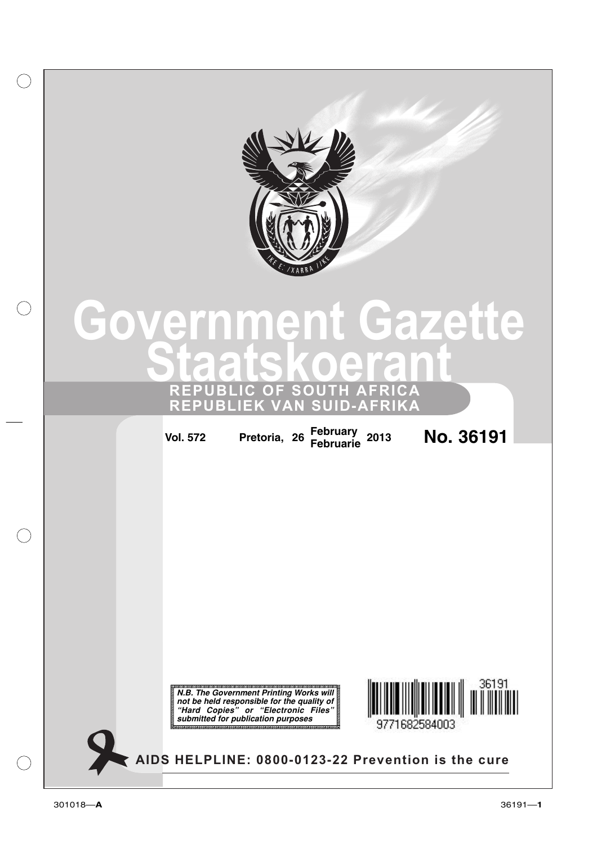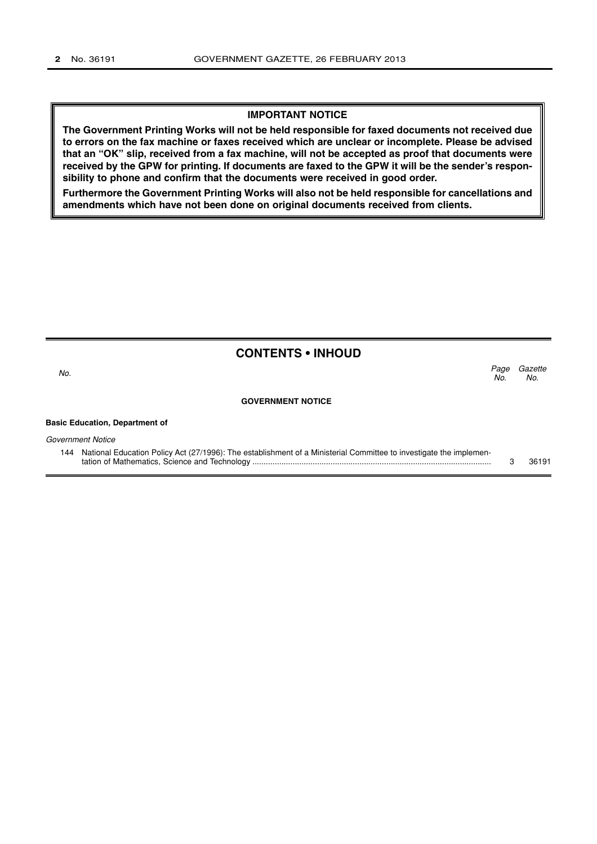#### **IMPORTANT NOTICE**

**The Government Printing Works will not be held responsible for faxed documents not received due to errors on the fax machine or faxes received which are unclear or incomplete. Please be advised that an "OK" slip, received from a fax machine, will not be accepted as proof that documents were received by the GPW for printing. If documents are faxed to the GPW it will be the sender's responsibility to phone and confirm that the documents were received in good order.**

**Furthermore the Government Printing Works will also not be held responsible for cancellations and amendments which have not been done on original documents received from clients.**

|  |  | <b>CONTENTS • INHOUD</b> |
|--|--|--------------------------|
|--|--|--------------------------|

| No.                      | Page<br>No. | Gazette<br>No. |
|--------------------------|-------------|----------------|
| <b>GOVERNMENT NOTICE</b> |             |                |

**Basic Education, Department of**

Government Notice

| 144 National Education Policy Act (27/1996): The establishment of a Ministerial Committee to investigate the implemen- |       |
|------------------------------------------------------------------------------------------------------------------------|-------|
|                                                                                                                        | 36191 |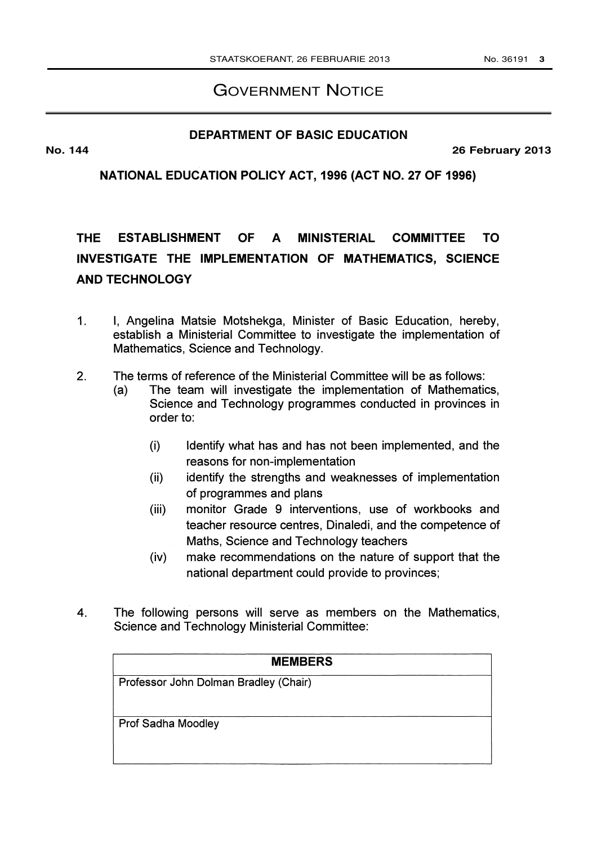## GOVERNMENT NOTICE

### **DEPARTMENT OF BASIC EDUCATION**

**No. 144 26 February 2013**

NATIONAL EDUCATION POLICY ACT, 1996 (ACT NO. 27 OF 1996)

# THE ESTABLISHMENT OF A MINISTERIAL COMMITTEE TO INVESTIGATE THE IMPLEMENTATION OF MATHEMATICS, SCIENCE AND TECHNOLOGY

- 1. I, Angelina Matsie Motshekga, Minister of Basic Education, hereby, establish a Ministerial Committee to investigate the implementation of Mathematics, Science and Technology.
- 2. The terms of reference of the Ministerial Committee will be as follows:
	- (a) The team will investigate the implementation of Mathematics, Science and Technology programmes conducted in provinces in order to:
		- (i) Identify what has and has not been implemented, and the reasons for non-implementation
		- (ii) identify the strengths and weaknesses of implementation of programmes and plans
		- (iii) monitor Grade 9 interventions, use of workbooks and teacher resource centres, Dinaledi, and the competence of Maths, Science and Technology teachers
		- (iv) make recommendations on the nature of support that the national department could provide to provinces;
- 4. The following persons will serve as members on the Mathematics, Science and Technology Ministerial Committee:

| <b>MEMBERS</b>                        |
|---------------------------------------|
| Professor John Dolman Bradley (Chair) |
|                                       |
| <b>Prof Sadha Moodley</b>             |
|                                       |
|                                       |